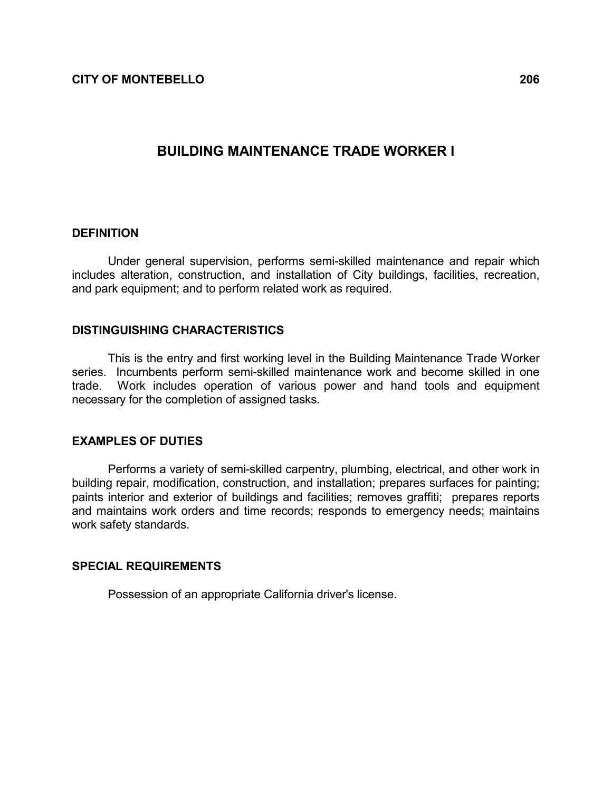CITY OF MONTEBELLO 206

# BUILDING MAINTENANCE TRADE WORKER I

### DEFINITION

 Under general supervision, performs semi-skilled maintenance and repair which includes alteration, construction, and installation of City buildings, facilities, recreation, and park equipment; and to perform related work as required.

# DISTINGUISHING CHARACTERISTICS

 This is the entry and first working level in the Building Maintenance Trade Worker series. Incumbents perform semi-skilled maintenance work and become skilled in one trade. Work includes operation of various power and hand tools and equipment necessary for the completion of assigned tasks.

# EXAMPLES OF DUTIES

 Performs a variety of semi-skilled carpentry, plumbing, electrical, and other work in building repair, modification, construction, and installation; prepares surfaces for painting; paints interior and exterior of buildings and facilities; removes graffiti; prepares reports and maintains work orders and time records; responds to emergency needs; maintains work safety standards.

### SPECIAL REQUIREMENTS

Possession of an appropriate California driver's license.